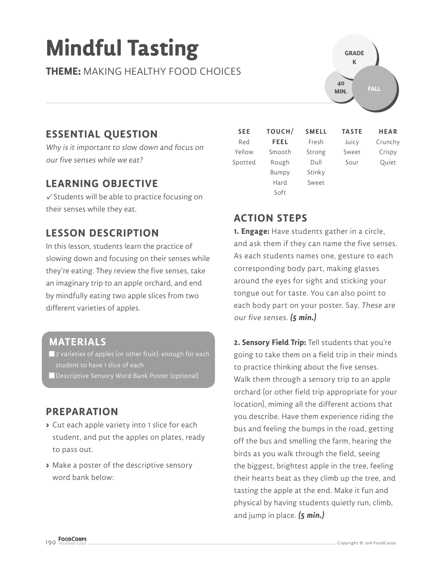# **Mindful Tasting**

**THEME:** MAKING HEALTHY FOOD CHOICES

# **ESSENTIAL QUESTION**

Why is it important to slow down and focus on our five senses while we eat?

## **LEARNING OBJECTIVE**

 $\checkmark$  Students will be able to practice focusing on their senses while they eat.

# **LESSON DESCRIPTION**

In this lesson, students learn the practice of slowing down and focusing on their senses while they're eating. They review the five senses, take an imaginary trip to an apple orchard, and end by mindfully eating two apple slices from two different varieties of apples.

### **MATERIALS**

- **2** varieties of apples (or other fruit); enough for each student to have 1 slice of each
- Descriptive Sensory Word Bank Poster (optional)

## **PREPARATION**

- **>** Cut each apple variety into 1 slice for each student, and put the apples on plates, ready to pass out.
- **>** Make a poster of the descriptive sensory word bank below:

| <b>SEE</b> | TOUCH/ | <b>SMELL</b> | <b>TASTE</b> | <b>HEAR</b> |
|------------|--------|--------------|--------------|-------------|
| Red        | FEEL   | Fresh        | Juicy        | Crunchy     |
| Yellow     | Smooth | Strong       | Sweet        | Crispy      |
| Spotted    | Rough  | Dull         | Sour         | Quiet       |
|            | Bumpy  | Stinky       |              |             |
|            | Hard   | Sweet        |              |             |
|            | Soft   |              |              |             |

**FALL**

**40 MIN.**

**GRADE K**

# **ACTION STEPS**

**1. Engage:** Have students gather in a circle, and ask them if they can name the five senses. As each students names one, gesture to each corresponding body part, making glasses around the eyes for sight and sticking your tongue out for taste. You can also point to each body part on your poster. Say, These are our five senses. **(5 min.)**

**2. Sensory Field Trip:** Tell students that you're going to take them on a field trip in their minds to practice thinking about the five senses. Walk them through a sensory trip to an apple orchard (or other field trip appropriate for your location), miming all the different actions that you describe. Have them experience riding the bus and feeling the bumps in the road, getting off the bus and smelling the farm, hearing the birds as you walk through the field, seeing the biggest, brightest apple in the tree, feeling their hearts beat as they climb up the tree, and tasting the apple at the end. Make it fun and physical by having students quietly run, climb, and jump in place. **(5 min.)**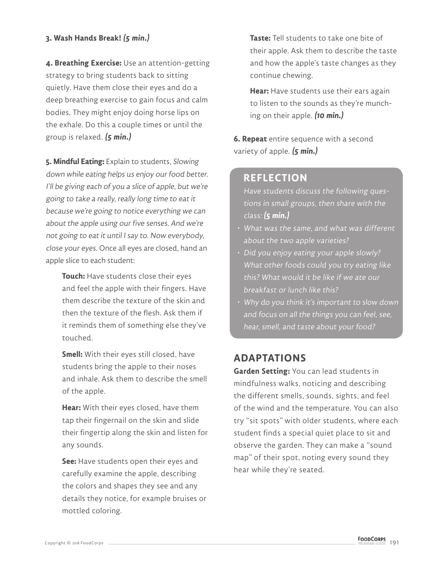#### **3. Wash Hands Break! (5 min.)**

**4. Breathing Exercise:** Use an attention-getting strategy to bring students back to sitting quietly. Have them close their eyes and do a deep breathing exercise to gain focus and calm bodies. They might enjoy doing horse lips on the exhale. Do this a couple times or until the group is relaxed. **(5 min.)**

**5. Mindful Eating:** Explain to students, Slowing down while eating helps us enjoy our food better. I'll be giving each of you a slice of apple, but we're going to take a really, really long time to eat it because we're going to notice everything we can about the apple using our five senses. And we're not going to eat it until I say to. Now everybody, close your eyes. Once all eyes are closed, hand an apple slice to each student:

**Touch:** Have students close their eyes and feel the apple with their fingers. Have them describe the texture of the skin and then the texture of the flesh. Ask them if it reminds them of something else they've touched.

**Smell:** With their eyes still closed, have students bring the apple to their noses and inhale. Ask them to describe the smell of the apple.

**Hear:** With their eyes closed, have them tap their fingernail on the skin and slide their fingertip along the skin and listen for any sounds.

**See:** Have students open their eyes and carefully examine the apple, describing the colors and shapes they see and any details they notice, for example bruises or mottled coloring.

**Taste:** Tell students to take one bite of their apple. Ask them to describe the taste and how the apple's taste changes as they continue chewing.

**Hear:** Have students use their ears again to listen to the sounds as they're munching on their apple. **(10 min.)**

**6. Repeat** entire sequence with a second variety of apple. **(5 min.)**

#### **REFLECTION**

Have students discuss the following questions in small groups, then share with the class: **(5 min.)**

- What was the same, and what was different about the two apple varieties?
- Did you enjoy eating your apple slowly? What other foods could you try eating like this? What would it be like if we ate our breakfast or lunch like this?
- Why do you think it's important to slow down and focus on all the things you can feel, see, hear, smell, and taste about your food?

## **ADAPTATIONS**

**Garden Setting:** You can lead students in mindfulness walks, noticing and describing the different smells, sounds, sights, and feel of the wind and the temperature. You can also try "sit spots" with older students, where each student finds a special quiet place to sit and observe the garden. They can make a "sound map" of their spot, noting every sound they hear while they're seated.